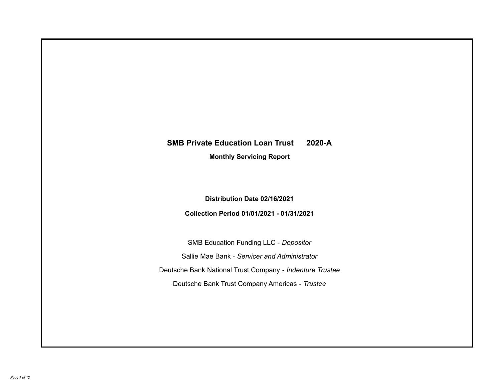# **SMB Private Education Loan Trust 2020-A**

**Monthly Servicing Report**

**Distribution Date 02/16/2021**

**Collection Period 01/01/2021 - 01/31/2021**

SMB Education Funding LLC - *Depositor* Sallie Mae Bank - *Servicer and Administrator* Deutsche Bank National Trust Company - *Indenture Trustee* Deutsche Bank Trust Company Americas - *Trustee*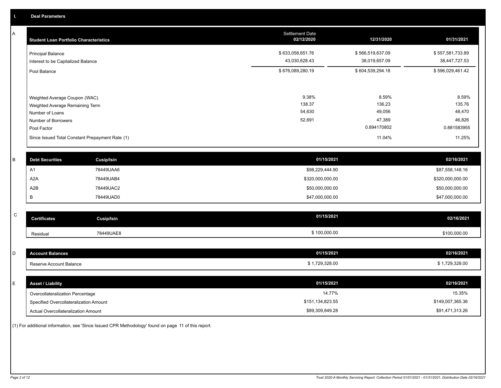A

| <b>Student Loan Portfolio Characteristics</b>                                                                             | <b>Settlement Date</b><br>02/12/2020 | 12/31/2020                                         | 01/31/2021                                         |
|---------------------------------------------------------------------------------------------------------------------------|--------------------------------------|----------------------------------------------------|----------------------------------------------------|
| <b>Principal Balance</b><br>Interest to be Capitalized Balance                                                            | \$633,058,651.76<br>43,030,628.43    | \$566,519,637.09<br>38,019,657.09                  | \$557,581,733.89<br>38,447,727.53                  |
| Pool Balance                                                                                                              | \$676,089,280.19                     | \$604,539,294.18                                   | \$596,029,461.42                                   |
| Weighted Average Coupon (WAC)<br>Weighted Average Remaining Term<br>Number of Loans<br>Number of Borrowers<br>Pool Factor | 9.38%<br>138.37<br>54,630<br>52,691  | 8.59%<br>136.23<br>49,056<br>47,389<br>0.894170802 | 8.59%<br>135.76<br>48,470<br>46,826<br>0.881583955 |
| Since Issued Total Constant Prepayment Rate (1)                                                                           |                                      | 11.04%                                             | 11.25%                                             |

| <b>Debt Securities</b> | Cusip/Isin | 01/15/2021       | 02/16/2021       |
|------------------------|------------|------------------|------------------|
| A٦                     | 78449UAA6  | \$98,229,444.90  | \$87,558,148.16  |
| A2A                    | 78449UAB4  | \$320,000,000.00 | \$320,000,000.00 |
| A2B                    | 78449UAC2  | \$50,000,000.00  | \$50,000,000.00  |
|                        | 78449UAD0  | \$47,000,000.00  | \$47,000,000.00  |

| ⌒<br>ີ | Certificates | Cusip/Isin | 01/15/2021   | 02/16/2021   |
|--------|--------------|------------|--------------|--------------|
|        | Residual     | 78449UAE8  | \$100,000.00 | \$100,000.00 |

| \$1,729,328.00 |
|----------------|
|                |
|                |
| 02/16/2021     |
|                |

| Overcollateralization Percentage       | 14.77%           | 15.35%           |
|----------------------------------------|------------------|------------------|
| Specified Overcollateralization Amount | \$151,134,823.55 | \$149,007,365.36 |
| Actual Overcollateralization Amount    | \$89,309,849.28  | \$91,471,313.26  |

(1) For additional information, see 'Since Issued CPR Methodology' found on page 11 of this report.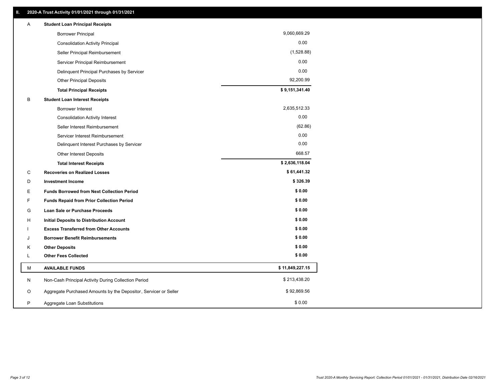| Α | <b>Student Loan Principal Receipts</b>                           |                 |
|---|------------------------------------------------------------------|-----------------|
|   | <b>Borrower Principal</b>                                        | 9,060,669.29    |
|   | <b>Consolidation Activity Principal</b>                          | 0.00            |
|   | Seller Principal Reimbursement                                   | (1,528.88)      |
|   | Servicer Principal Reimbursement                                 | 0.00            |
|   | Delinquent Principal Purchases by Servicer                       | 0.00            |
|   | <b>Other Principal Deposits</b>                                  | 92,200.99       |
|   | <b>Total Principal Receipts</b>                                  | \$9,151,341.40  |
| В | <b>Student Loan Interest Receipts</b>                            |                 |
|   | <b>Borrower Interest</b>                                         | 2,635,512.33    |
|   | <b>Consolidation Activity Interest</b>                           | 0.00            |
|   | Seller Interest Reimbursement                                    | (62.86)         |
|   | Servicer Interest Reimbursement                                  | 0.00            |
|   | Delinquent Interest Purchases by Servicer                        | 0.00            |
|   | <b>Other Interest Deposits</b>                                   | 668.57          |
|   | <b>Total Interest Receipts</b>                                   | \$2,636,118.04  |
| С | <b>Recoveries on Realized Losses</b>                             | \$61,441.32     |
| D | <b>Investment Income</b>                                         | \$326.39        |
| Е | <b>Funds Borrowed from Next Collection Period</b>                | \$0.00          |
| F | <b>Funds Repaid from Prior Collection Period</b>                 | \$0.00          |
| G | Loan Sale or Purchase Proceeds                                   | \$0.00          |
| н | Initial Deposits to Distribution Account                         | \$0.00          |
|   | <b>Excess Transferred from Other Accounts</b>                    | \$0.00          |
| J | <b>Borrower Benefit Reimbursements</b>                           | \$0.00          |
| Κ | <b>Other Deposits</b>                                            | \$0.00          |
| L | <b>Other Fees Collected</b>                                      | \$0.00          |
| М | <b>AVAILABLE FUNDS</b>                                           | \$11,849,227.15 |
| N | Non-Cash Principal Activity During Collection Period             | \$213,438.20    |
| O | Aggregate Purchased Amounts by the Depositor, Servicer or Seller | \$92,869.56     |
| P | Aggregate Loan Substitutions                                     | \$0.00          |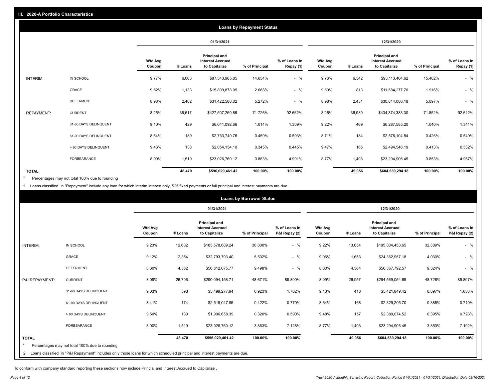|                   |                       |                          |         |                                                           | <b>Loans by Repayment Status</b> |                            |                          |         |                                                           |                |                            |
|-------------------|-----------------------|--------------------------|---------|-----------------------------------------------------------|----------------------------------|----------------------------|--------------------------|---------|-----------------------------------------------------------|----------------|----------------------------|
|                   |                       |                          |         | 01/31/2021                                                |                                  |                            |                          |         | 12/31/2020                                                |                |                            |
|                   |                       | <b>Wtd Avg</b><br>Coupon | # Loans | Principal and<br><b>Interest Accrued</b><br>to Capitalize | % of Principal                   | % of Loans in<br>Repay (1) | <b>Wtd Avg</b><br>Coupon | # Loans | Principal and<br><b>Interest Accrued</b><br>to Capitalize | % of Principal | % of Loans in<br>Repay (1) |
| INTERIM:          | IN SCHOOL             | 9.77%                    | 6,063   | \$87,343,985.85                                           | 14.654%                          | $-$ %                      | 9.76%                    | 6,542   | \$93,113,404.62                                           | 15.402%        | $-$ %                      |
|                   | GRACE                 | 9.62%                    | 1,133   | \$15,899,878.05                                           | 2.668%                           | $-$ %                      | 9.59%                    | 813     | \$11,584,277.70                                           | 1.916%         | $-$ %                      |
|                   | <b>DEFERMENT</b>      | 8.98%                    | 2,482   | \$31,422,580.02                                           | 5.272%                           | $-$ %                      | 8.98%                    | 2,451   | \$30,814,086.18                                           | 5.097%         | $-$ %                      |
| <b>REPAYMENT:</b> | <b>CURRENT</b>        | 8.25%                    | 36,517  | \$427,507,260.86                                          | 71.726%                          | 92.662%                    | 8.26%                    | 36,939  | \$434,374,383.30                                          | 71.852%        | 92.612%                    |
|                   | 31-60 DAYS DELINQUENT | 9.10%                    | 429     | \$6,041,092.66                                            | 1.014%                           | 1.309%                     | 9.22%                    | 469     | \$6,287,585.20                                            | 1.040%         | 1.341%                     |
|                   | 61-90 DAYS DELINQUENT | 8.54%                    | 189     | \$2,733,749.76                                            | 0.459%                           | 0.593%                     | 8.71%                    | 184     | \$2,576,104.54                                            | 0.426%         | 0.549%                     |
|                   | > 90 DAYS DELINQUENT  | 9.46%                    | 138     | \$2,054,154.10                                            | 0.345%                           | 0.445%                     | 9.47%                    | 165     | \$2,494,546.19                                            | 0.413%         | 0.532%                     |
|                   | <b>FORBEARANCE</b>    | 8.90%                    | 1,519   | \$23,026,760.12                                           | 3.863%                           | 4.991%                     | 8.77%                    | 1,493   | \$23,294,906.45                                           | 3.853%         | 4.967%                     |
| <b>TOTAL</b>      |                       |                          | 48,470  | \$596,029,461.42                                          | 100.00%                          | 100.00%                    |                          | 49,056  | \$604,539,294.18                                          | 100.00%        | 100.00%                    |

Percentages may not total 100% due to rounding  $\pmb{\ast}$ 

1 Loans classified in "Repayment" include any loan for which interim interest only, \$25 fixed payments or full principal and interest payments are due.

|                 |                                                                                                                              |                          |         |                                                                  | <b>Loans by Borrower Status</b> |                                |                          |         |                                                                  |                |                                |
|-----------------|------------------------------------------------------------------------------------------------------------------------------|--------------------------|---------|------------------------------------------------------------------|---------------------------------|--------------------------------|--------------------------|---------|------------------------------------------------------------------|----------------|--------------------------------|
|                 |                                                                                                                              |                          |         | 01/31/2021                                                       |                                 |                                |                          |         | 12/31/2020                                                       |                |                                |
|                 |                                                                                                                              | <b>Wtd Avg</b><br>Coupon | # Loans | <b>Principal and</b><br><b>Interest Accrued</b><br>to Capitalize | % of Principal                  | % of Loans in<br>P&I Repay (2) | <b>Wtd Avg</b><br>Coupon | # Loans | <b>Principal and</b><br><b>Interest Accrued</b><br>to Capitalize | % of Principal | % of Loans in<br>P&I Repay (2) |
| <b>INTERIM:</b> | IN SCHOOL                                                                                                                    | 9.23%                    | 12,632  | \$183,578,689.24                                                 | 30.800%                         | $-$ %                          | 9.22%                    | 13,654  | \$195,804,453.65                                                 | 32.389%        | $-$ %                          |
|                 | <b>GRACE</b>                                                                                                                 | 9.12%                    | 2,354   | \$32,793,793.40                                                  | 5.502%                          | $-$ %                          | 9.06%                    | 1,653   | \$24,362,957.18                                                  | 4.030%         | $-$ %                          |
|                 | <b>DEFERMENT</b>                                                                                                             | 8.60%                    | 4,562   | \$56,612,075.77                                                  | 9.498%                          | $-$ %                          | 8.60%                    | 4,564   | \$56,367,792.57                                                  | 9.324%         | $-$ %                          |
| P&I REPAYMENT:  | <b>CURRENT</b>                                                                                                               | 8.09%                    | 26,706  | \$290,094,158.71                                                 | 48.671%                         | 89.800%                        | 8.09%                    | 26,957  | \$294,569,054.69                                                 | 48.726%        | 89.807%                        |
|                 | 31-60 DAYS DELINQUENT                                                                                                        | 9.03%                    | 393     | \$5,499,277.94                                                   | 0.923%                          | 1.702%                         | 9.13%                    | 410     | \$5,421,849.42                                                   | 0.897%         | 1.653%                         |
|                 | 61-90 DAYS DELINQUENT                                                                                                        | 8.41%                    | 174     | \$2,518,047.85                                                   | 0.422%                          | 0.779%                         | 8.64%                    | 168     | \$2,329,205.70                                                   | 0.385%         | 0.710%                         |
|                 | > 90 DAYS DELINQUENT                                                                                                         | 9.50%                    | 130     | \$1,906,658.39                                                   | 0.320%                          | 0.590%                         | 9.48%                    | 157     | \$2,389,074.52                                                   | 0.395%         | 0.728%                         |
|                 | FORBEARANCE                                                                                                                  | 8.90%                    | 1,519   | \$23,026,760.12                                                  | 3.863%                          | 7.128%                         | 8.77%                    | 1,493   | \$23,294,906.45                                                  | 3.853%         | 7.102%                         |
| <b>TOTAL</b>    |                                                                                                                              |                          | 48,470  | \$596,029,461.42                                                 | 100.00%                         | 100.00%                        |                          | 49,056  | \$604,539,294.18                                                 | 100.00%        | 100.00%                        |
| $\star$         | Percentages may not total 100% due to rounding                                                                               |                          |         |                                                                  |                                 |                                |                          |         |                                                                  |                |                                |
|                 | 2 Loans classified in "P&I Repayment" includes only those loans for which scheduled principal and interest payments are due. |                          |         |                                                                  |                                 |                                |                          |         |                                                                  |                |                                |

To conform with company standard reporting these sections now include Princial and Interest Accrued to Capitalize .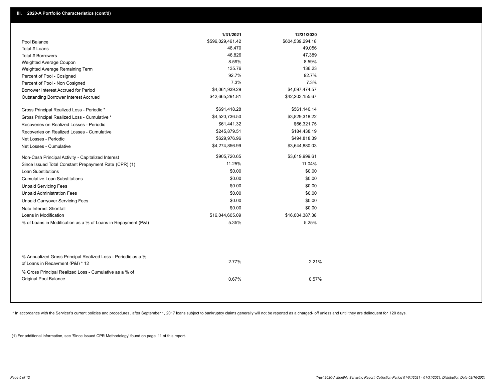|                                                                                                  | 1/31/2021        | 12/31/2020       |
|--------------------------------------------------------------------------------------------------|------------------|------------------|
| Pool Balance                                                                                     | \$596,029,461.42 | \$604,539,294.18 |
| Total # Loans                                                                                    | 48,470           | 49,056           |
| Total # Borrowers                                                                                | 46,826           | 47,389           |
| Weighted Average Coupon                                                                          | 8.59%            | 8.59%            |
| Weighted Average Remaining Term                                                                  | 135.76           | 136.23           |
| Percent of Pool - Cosigned                                                                       | 92.7%            | 92.7%            |
| Percent of Pool - Non Cosigned                                                                   | 7.3%             | 7.3%             |
| Borrower Interest Accrued for Period                                                             | \$4,061,939.29   | \$4,097,474.57   |
| Outstanding Borrower Interest Accrued                                                            | \$42,665,291.81  | \$42,203,155.67  |
| Gross Principal Realized Loss - Periodic *                                                       | \$691,418.28     | \$561,140.14     |
| Gross Principal Realized Loss - Cumulative *                                                     | \$4,520,736.50   | \$3,829,318.22   |
| Recoveries on Realized Losses - Periodic                                                         | \$61,441.32      | \$66,321.75      |
| Recoveries on Realized Losses - Cumulative                                                       | \$245,879.51     | \$184,438.19     |
| Net Losses - Periodic                                                                            | \$629,976.96     | \$494,818.39     |
| Net Losses - Cumulative                                                                          | \$4,274,856.99   | \$3,644,880.03   |
| Non-Cash Principal Activity - Capitalized Interest                                               | \$905,720.65     | \$3,619,999.61   |
| Since Issued Total Constant Prepayment Rate (CPR) (1)                                            | 11.25%           | 11.04%           |
| <b>Loan Substitutions</b>                                                                        | \$0.00           | \$0.00           |
| <b>Cumulative Loan Substitutions</b>                                                             | \$0.00           | \$0.00           |
| <b>Unpaid Servicing Fees</b>                                                                     | \$0.00           | \$0.00           |
| <b>Unpaid Administration Fees</b>                                                                | \$0.00           | \$0.00           |
| <b>Unpaid Carryover Servicing Fees</b>                                                           | \$0.00           | \$0.00           |
| Note Interest Shortfall                                                                          | \$0.00           | \$0.00           |
| Loans in Modification                                                                            | \$16,044,605.09  | \$16,004,387.38  |
| % of Loans in Modification as a % of Loans in Repayment (P&I)                                    | 5.35%            | 5.25%            |
|                                                                                                  |                  |                  |
| % Annualized Gross Principal Realized Loss - Periodic as a %<br>of Loans in Repayment (P&I) * 12 | 2.77%            | 2.21%            |
| % Gross Principal Realized Loss - Cumulative as a % of<br>Original Pool Balance                  | 0.67%            | 0.57%            |

\* In accordance with the Servicer's current policies and procedures, after September 1, 2017 loans subject to bankruptcy claims generally will not be reported as a charged- off unless and until they are delinquent for 120

(1) For additional information, see 'Since Issued CPR Methodology' found on page 11 of this report.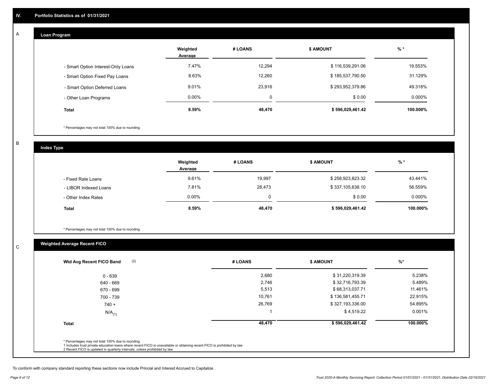## **Loan Program**

A

|                                    | Weighted<br>Average | # LOANS | <b>\$ AMOUNT</b> | $%$ *     |
|------------------------------------|---------------------|---------|------------------|-----------|
| - Smart Option Interest-Only Loans | 7.47%               | 12,294  | \$116,539,291.06 | 19.553%   |
| - Smart Option Fixed Pay Loans     | 8.63%               | 12,260  | \$185,537,790.50 | 31.129%   |
| - Smart Option Deferred Loans      | 9.01%               | 23,916  | \$293,952,379.86 | 49.318%   |
| - Other Loan Programs              | $0.00\%$            | 0       | \$0.00           | $0.000\%$ |
| <b>Total</b>                       | 8.59%               | 48,470  | \$596,029,461.42 | 100.000%  |

\* Percentages may not total 100% due to rounding

B

C

**Index Type**

|                       | Weighted<br>Average | # LOANS | <b>\$ AMOUNT</b> | % *      |
|-----------------------|---------------------|---------|------------------|----------|
| - Fixed Rate Loans    | 9.61%               | 19,997  | \$258,923,823.32 | 43.441%  |
| - LIBOR Indexed Loans | 7.81%               | 28,473  | \$337,105,638.10 | 56.559%  |
| - Other Index Rates   | $0.00\%$            | 0       | \$0.00           | 0.000%   |
| <b>Total</b>          | 8.59%               | 48,470  | \$596,029,461.42 | 100.000% |

\* Percentages may not total 100% due to rounding

# **Weighted Average Recent FICO**

| $0 - 639$            | 2,680  | \$31,220,319.39  | 5.238%   |
|----------------------|--------|------------------|----------|
| 640 - 669            | 2,746  | \$32,716,793.39  | 5.489%   |
| 670 - 699            | 5,513  | \$68,313,037.71  | 11.461%  |
| 700 - 739            | 10,761 | \$136,581,455.71 | 22.915%  |
| $740 +$              | 26,769 | \$327,193,336.00 | 54.895%  |
| $N/A$ <sub>(1)</sub> |        | \$4,519.22       | 0.001%   |
| <b>Total</b>         | 48,470 | \$596,029,461.42 | 100.000% |
|                      |        |                  |          |

To conform with company standard reporting these sections now include Princial and Interest Accrued to Capitalize .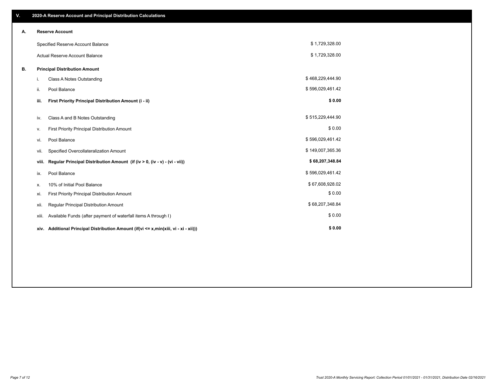| V. |       | 2020-A Reserve Account and Principal Distribution Calculations                       |                  |  |
|----|-------|--------------------------------------------------------------------------------------|------------------|--|
| А. |       | <b>Reserve Account</b>                                                               |                  |  |
|    |       | Specified Reserve Account Balance                                                    | \$1,729,328.00   |  |
|    |       | <b>Actual Reserve Account Balance</b>                                                | \$1,729,328.00   |  |
| В. |       | <b>Principal Distribution Amount</b>                                                 |                  |  |
|    | i.    | Class A Notes Outstanding                                                            | \$468,229,444.90 |  |
|    | ii.   | Pool Balance                                                                         | \$596,029,461.42 |  |
|    | iii.  | First Priority Principal Distribution Amount (i - ii)                                | \$0.00           |  |
|    | iv.   | Class A and B Notes Outstanding                                                      | \$515,229,444.90 |  |
|    | v.    | First Priority Principal Distribution Amount                                         | \$0.00           |  |
|    | vi.   | Pool Balance                                                                         | \$596,029,461.42 |  |
|    | vii.  | Specified Overcollateralization Amount                                               | \$149,007,365.36 |  |
|    | viii. | Regular Principal Distribution Amount (if (iv > 0, (iv - v) - (vi - vii))            | \$68,207,348.84  |  |
|    | ix.   | Pool Balance                                                                         | \$596,029,461.42 |  |
|    | х.    | 10% of Initial Pool Balance                                                          | \$67,608,928.02  |  |
|    | xi.   | First Priority Principal Distribution Amount                                         | \$0.00           |  |
|    | xii.  | Regular Principal Distribution Amount                                                | \$68,207,348.84  |  |
|    | xiii. | Available Funds (after payment of waterfall items A through I)                       | \$0.00           |  |
|    |       | xiv. Additional Principal Distribution Amount (if(vi <= x,min(xiii, vi - xi - xii))) | \$0.00           |  |
|    |       |                                                                                      |                  |  |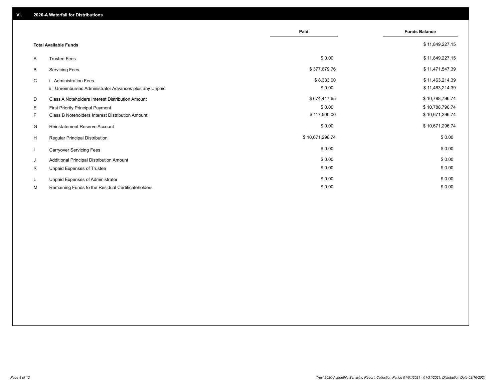|    |                                                         | Paid            | <b>Funds Balance</b> |
|----|---------------------------------------------------------|-----------------|----------------------|
|    | <b>Total Available Funds</b>                            |                 | \$11,849,227.15      |
| A  | <b>Trustee Fees</b>                                     | \$0.00          | \$11,849,227.15      |
| В  | <b>Servicing Fees</b>                                   | \$377,679.76    | \$11,471,547.39      |
| C  | i. Administration Fees                                  | \$8,333.00      | \$11,463,214.39      |
|    | ii. Unreimbursed Administrator Advances plus any Unpaid | \$0.00          | \$11,463,214.39      |
| D  | Class A Noteholders Interest Distribution Amount        | \$674,417.65    | \$10,788,796.74      |
| E. | First Priority Principal Payment                        | \$0.00          | \$10,788,796.74      |
| F. | Class B Noteholders Interest Distribution Amount        | \$117,500.00    | \$10,671,296.74      |
| G  | <b>Reinstatement Reserve Account</b>                    | \$0.00          | \$10,671,296.74      |
| H  | Regular Principal Distribution                          | \$10,671,296.74 | \$0.00               |
|    | <b>Carryover Servicing Fees</b>                         | \$0.00          | \$0.00               |
| J  | Additional Principal Distribution Amount                | \$0.00          | \$0.00               |
| Κ  | Unpaid Expenses of Trustee                              | \$0.00          | \$0.00               |
| L  | Unpaid Expenses of Administrator                        | \$0.00          | \$0.00               |
| М  | Remaining Funds to the Residual Certificateholders      | \$0.00          | \$0.00               |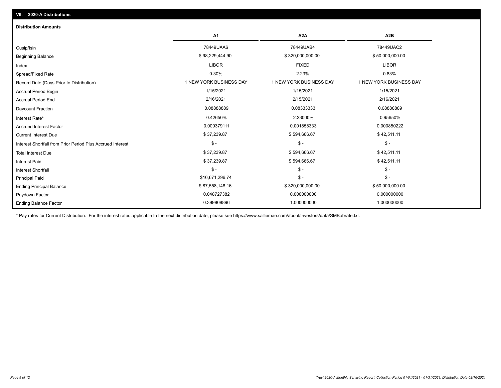| <b>Distribution Amounts</b>                                |                         |                         |                         |
|------------------------------------------------------------|-------------------------|-------------------------|-------------------------|
|                                                            | A <sub>1</sub>          | A <sub>2</sub> A        | A <sub>2</sub> B        |
| Cusip/Isin                                                 | 78449UAA6               | 78449UAB4               | 78449UAC2               |
| <b>Beginning Balance</b>                                   | \$98,229,444.90         | \$320,000,000.00        | \$50,000,000.00         |
| Index                                                      | <b>LIBOR</b>            | <b>FIXED</b>            | <b>LIBOR</b>            |
| Spread/Fixed Rate                                          | 0.30%                   | 2.23%                   | 0.83%                   |
| Record Date (Days Prior to Distribution)                   | 1 NEW YORK BUSINESS DAY | 1 NEW YORK BUSINESS DAY | 1 NEW YORK BUSINESS DAY |
| <b>Accrual Period Begin</b>                                | 1/15/2021               | 1/15/2021               | 1/15/2021               |
| <b>Accrual Period End</b>                                  | 2/16/2021               | 2/15/2021               | 2/16/2021               |
| Daycount Fraction                                          | 0.08888889              | 0.08333333              | 0.08888889              |
| Interest Rate*                                             | 0.42650%                | 2.23000%                | 0.95650%                |
| <b>Accrued Interest Factor</b>                             | 0.000379111             | 0.001858333             | 0.000850222             |
| <b>Current Interest Due</b>                                | \$37,239.87             | \$594,666.67            | \$42,511.11             |
| Interest Shortfall from Prior Period Plus Accrued Interest | $\mathsf{\$}$ -         | $\mathsf{\$}$ -         | $\mathsf{\$}$ -         |
| <b>Total Interest Due</b>                                  | \$37,239.87             | \$594,666.67            | \$42,511.11             |
| <b>Interest Paid</b>                                       | \$37,239.87             | \$594,666.67            | \$42,511.11             |
| <b>Interest Shortfall</b>                                  | $\mathsf{\$}$ -         | $\mathsf{\$}$ -         | $\mathsf{\$}$ -         |
| <b>Principal Paid</b>                                      | \$10,671,296.74         | $\mathsf{\$}$ -         | $$ -$                   |
| <b>Ending Principal Balance</b>                            | \$87,558,148.16         | \$320,000,000.00        | \$50,000,000.00         |
| Paydown Factor                                             | 0.048727382             | 0.000000000             | 0.000000000             |
| <b>Ending Balance Factor</b>                               | 0.399808896             | 1.000000000             | 1.000000000             |

\* Pay rates for Current Distribution. For the interest rates applicable to the next distribution date, please see https://www.salliemae.com/about/investors/data/SMBabrate.txt.

**VII. 2020-A Distributions**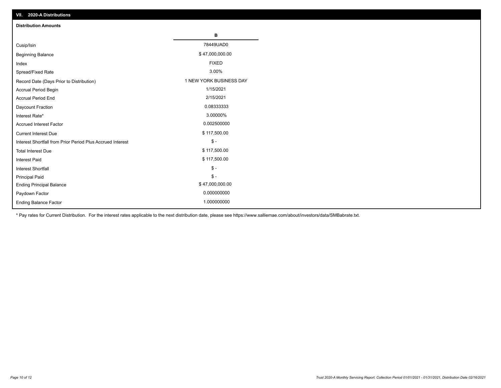| VII. 2020-A Distributions                                  |                         |
|------------------------------------------------------------|-------------------------|
| <b>Distribution Amounts</b>                                |                         |
|                                                            | в                       |
| Cusip/Isin                                                 | 78449UAD0               |
| <b>Beginning Balance</b>                                   | \$47,000,000.00         |
| Index                                                      | <b>FIXED</b>            |
| Spread/Fixed Rate                                          | 3.00%                   |
| Record Date (Days Prior to Distribution)                   | 1 NEW YORK BUSINESS DAY |
| Accrual Period Begin                                       | 1/15/2021               |
| <b>Accrual Period End</b>                                  | 2/15/2021               |
| Daycount Fraction                                          | 0.08333333              |
| Interest Rate*                                             | 3.00000%                |
| <b>Accrued Interest Factor</b>                             | 0.002500000             |
| <b>Current Interest Due</b>                                | \$117,500.00            |
| Interest Shortfall from Prior Period Plus Accrued Interest | $\mathsf{\$}$ -         |
| <b>Total Interest Due</b>                                  | \$117,500.00            |
| <b>Interest Paid</b>                                       | \$117,500.00            |
| Interest Shortfall                                         | $\mathsf{\$}$ -         |
| <b>Principal Paid</b>                                      | $\frac{1}{2}$           |
| <b>Ending Principal Balance</b>                            | \$47,000,000.00         |
| Paydown Factor                                             | 0.000000000             |
| <b>Ending Balance Factor</b>                               | 1.000000000             |

\* Pay rates for Current Distribution. For the interest rates applicable to the next distribution date, please see https://www.salliemae.com/about/investors/data/SMBabrate.txt.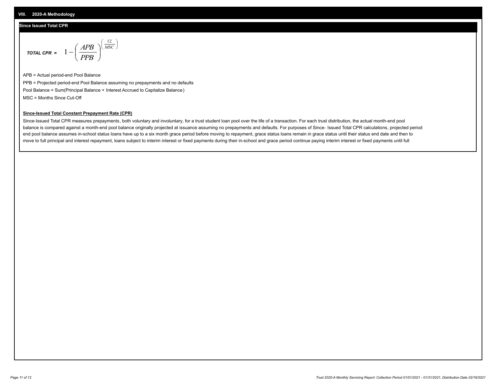#### **Since Issued Total CPR**

$$
\text{total CPR} = 1 - \left(\frac{APB}{PPB}\right)^{\left(\frac{12}{MSC}\right)}
$$

APB = Actual period-end Pool Balance PPB = Projected period-end Pool Balance assuming no prepayments and no defaults Pool Balance = Sum(Principal Balance + Interest Accrued to Capitalize Balance) MSC = Months Since Cut-Off

#### **Since-Issued Total Constant Prepayment Rate (CPR)**

Since-Issued Total CPR measures prepayments, both voluntary and involuntary, for a trust student loan pool over the life of a transaction. For each trust distribution, the actual month-end pool balance is compared against a month-end pool balance originally projected at issuance assuming no prepayments and defaults. For purposes of Since- Issued Total CPR calculations, projected period end pool balance assumes in-school status loans have up to a six month grace period before moving to repayment, grace status loans remain in grace status until their status end date and then to move to full principal and interest repayment, loans subject to interim interest or fixed payments during their in-school and grace period continue paying interim interest or fixed payments until full